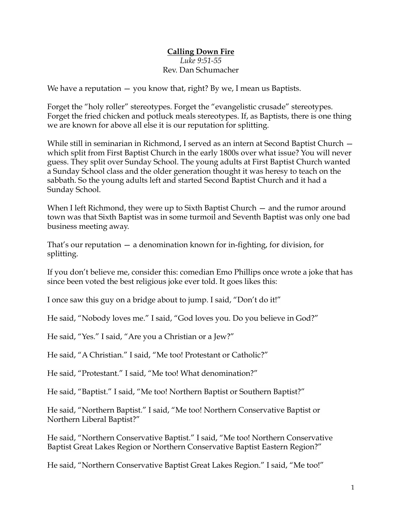## **Calling Down Fire** *Luke 9:51-55* Rev. Dan Schumacher

We have a reputation  $-$  you know that, right? By we, I mean us Baptists.

Forget the "holy roller" stereotypes. Forget the "evangelistic crusade" stereotypes. Forget the fried chicken and potluck meals stereotypes. If, as Baptists, there is one thing we are known for above all else it is our reputation for splitting.

While still in seminarian in Richmond, I served as an intern at Second Baptist Church which split from First Baptist Church in the early 1800s over what issue? You will never guess. They split over Sunday School. The young adults at First Baptist Church wanted a Sunday School class and the older generation thought it was heresy to teach on the sabbath. So the young adults left and started Second Baptist Church and it had a Sunday School.

When I left Richmond, they were up to Sixth Baptist Church – and the rumor around town was that Sixth Baptist was in some turmoil and Seventh Baptist was only one bad business meeting away.

That's our reputation — a denomination known for in-fighting, for division, for splitting.

If you don't believe me, consider this: comedian Emo Phillips once wrote a joke that has since been voted the best religious joke ever told. It goes likes this:

I once saw this guy on a bridge about to jump. I said, "Don't do it!"

He said, "Nobody loves me." I said, "God loves you. Do you believe in God?"

He said, "Yes." I said, "Are you a Christian or a Jew?"

He said, "A Christian." I said, "Me too! Protestant or Catholic?"

He said, "Protestant." I said, "Me too! What denomination?"

He said, "Baptist." I said, "Me too! Northern Baptist or Southern Baptist?"

He said, "Northern Baptist." I said, "Me too! Northern Conservative Baptist or Northern Liberal Baptist?"

He said, "Northern Conservative Baptist." I said, "Me too! Northern Conservative Baptist Great Lakes Region or Northern Conservative Baptist Eastern Region?"

He said, "Northern Conservative Baptist Great Lakes Region." I said, "Me too!"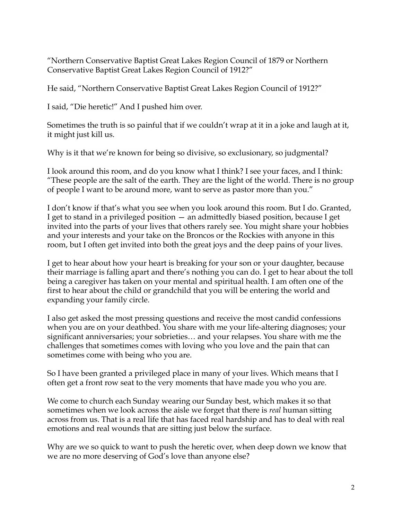"Northern Conservative Baptist Great Lakes Region Council of 1879 or Northern Conservative Baptist Great Lakes Region Council of 1912?"

He said, "Northern Conservative Baptist Great Lakes Region Council of 1912?"

I said, "Die heretic!" And I pushed him over.

Sometimes the truth is so painful that if we couldn't wrap at it in a joke and laugh at it, it might just kill us.

Why is it that we're known for being so divisive, so exclusionary, so judgmental?

I look around this room, and do you know what I think? I see your faces, and I think: "These people are the salt of the earth. They are the light of the world. There is no group of people I want to be around more, want to serve as pastor more than you."

I don't know if that's what you see when you look around this room. But I do. Granted, I get to stand in a privileged position — an admittedly biased position, because I get invited into the parts of your lives that others rarely see. You might share your hobbies and your interests and your take on the Broncos or the Rockies with anyone in this room, but I often get invited into both the great joys and the deep pains of your lives.

I get to hear about how your heart is breaking for your son or your daughter, because their marriage is falling apart and there's nothing you can do. I get to hear about the toll being a caregiver has taken on your mental and spiritual health. I am often one of the first to hear about the child or grandchild that you will be entering the world and expanding your family circle.

I also get asked the most pressing questions and receive the most candid confessions when you are on your deathbed. You share with me your life-altering diagnoses; your significant anniversaries; your sobrieties… and your relapses. You share with me the challenges that sometimes comes with loving who you love and the pain that can sometimes come with being who you are.

So I have been granted a privileged place in many of your lives. Which means that I often get a front row seat to the very moments that have made you who you are.

We come to church each Sunday wearing our Sunday best, which makes it so that sometimes when we look across the aisle we forget that there is *real* human sitting across from us. That is a real life that has faced real hardship and has to deal with real emotions and real wounds that are sitting just below the surface.

Why are we so quick to want to push the heretic over, when deep down we know that we are no more deserving of God's love than anyone else?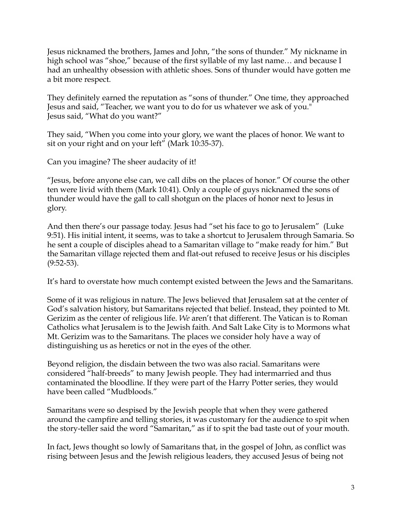Jesus nicknamed the brothers, James and John, "the sons of thunder." My nickname in high school was "shoe," because of the first syllable of my last name... and because I had an unhealthy obsession with athletic shoes. Sons of thunder would have gotten me a bit more respect.

They definitely earned the reputation as "sons of thunder." One time, they approached Jesus and said, "Teacher, we want you to do for us whatever we ask of you." Jesus said, "What do you want?"

They said, "When you come into your glory, we want the places of honor. We want to sit on your right and on your left" (Mark 10:35-37).

Can you imagine? The sheer audacity of it!

"Jesus, before anyone else can, we call dibs on the places of honor." Of course the other ten were livid with them (Mark 10:41). Only a couple of guys nicknamed the sons of thunder would have the gall to call shotgun on the places of honor next to Jesus in glory.

And then there's our passage today. Jesus had "set his face to go to Jerusalem" (Luke 9:51). His initial intent, it seems, was to take a shortcut to Jerusalem through Samaria. So he sent a couple of disciples ahead to a Samaritan village to "make ready for him." But the Samaritan village rejected them and flat-out refused to receive Jesus or his disciples (9:52-53).

It's hard to overstate how much contempt existed between the Jews and the Samaritans.

Some of it was religious in nature. The Jews believed that Jerusalem sat at the center of God's salvation history, but Samaritans rejected that belief. Instead, they pointed to Mt. Gerizim as the center of religious life. *We* aren't that different. The Vatican is to Roman Catholics what Jerusalem is to the Jewish faith. And Salt Lake City is to Mormons what Mt. Gerizim was to the Samaritans. The places we consider holy have a way of distinguishing us as heretics or not in the eyes of the other.

Beyond religion, the disdain between the two was also racial. Samaritans were considered "half-breeds" to many Jewish people. They had intermarried and thus contaminated the bloodline. If they were part of the Harry Potter series, they would have been called "Mudbloods."

Samaritans were so despised by the Jewish people that when they were gathered around the campfire and telling stories, it was customary for the audience to spit when the story-teller said the word "Samaritan," as if to spit the bad taste out of your mouth.

In fact, Jews thought so lowly of Samaritans that, in the gospel of John, as conflict was rising between Jesus and the Jewish religious leaders, they accused Jesus of being not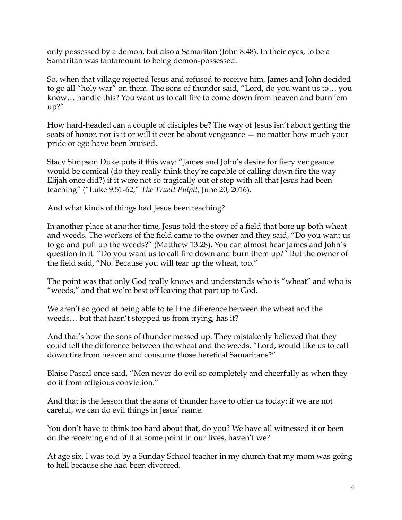only possessed by a demon, but also a Samaritan (John 8:48). In their eyes, to be a Samaritan was tantamount to being demon-possessed.

So, when that village rejected Jesus and refused to receive him, James and John decided to go all "holy war" on them. The sons of thunder said, "Lord, do you want us to… you know… handle this? You want us to call fire to come down from heaven and burn 'em up?"

How hard-headed can a couple of disciples be? The way of Jesus isn't about getting the seats of honor, nor is it or will it ever be about vengeance — no matter how much your pride or ego have been bruised.

Stacy Simpson Duke puts it this way: "James and John's desire for fiery vengeance would be comical (do they really think they're capable of calling down fire the way Elijah once did?) if it were not so tragically out of step with all that Jesus had been teaching" ("Luke 9:51-62," *The Truett Pulpit*, June 20, 2016).

And what kinds of things had Jesus been teaching?

In another place at another time, Jesus told the story of a field that bore up both wheat and weeds. The workers of the field came to the owner and they said, "Do you want us to go and pull up the weeds?" (Matthew 13:28). You can almost hear James and John's question in it: "Do you want us to call fire down and burn them up?" But the owner of the field said, "No. Because you will tear up the wheat, too."

The point was that only God really knows and understands who is "wheat" and who is "weeds," and that we're best off leaving that part up to God.

We aren't so good at being able to tell the difference between the wheat and the weeds… but that hasn't stopped us from trying, has it?

And that's how the sons of thunder messed up. They mistakenly believed that they could tell the difference between the wheat and the weeds. "Lord, would like us to call down fire from heaven and consume those heretical Samaritans?"

Blaise Pascal once said, "Men never do evil so completely and cheerfully as when they do it from religious conviction."

And that is the lesson that the sons of thunder have to offer us today: if we are not careful, we can do evil things in Jesus' name.

You don't have to think too hard about that, do you? We have all witnessed it or been on the receiving end of it at some point in our lives, haven't we?

At age six, I was told by a Sunday School teacher in my church that my mom was going to hell because she had been divorced.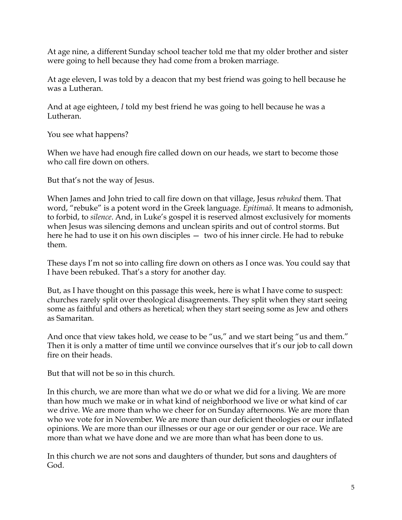At age nine, a different Sunday school teacher told me that my older brother and sister were going to hell because they had come from a broken marriage.

At age eleven, I was told by a deacon that my best friend was going to hell because he was a Lutheran.

And at age eighteen, *I* told my best friend he was going to hell because he was a Lutheran.

You see what happens?

When we have had enough fire called down on our heads, we start to become those who call fire down on others.

But that's not the way of Jesus.

When James and John tried to call fire down on that village, Jesus *rebuked* them. That word, "rebuke" is a potent word in the Greek language. *Epitimaō*. It means to admonish, to forbid, to *silence*. And, in Luke's gospel it is reserved almost exclusively for moments when Jesus was silencing demons and unclean spirits and out of control storms. But here he had to use it on his own disciples — two of his inner circle. He had to rebuke them.

These days I'm not so into calling fire down on others as I once was. You could say that I have been rebuked. That's a story for another day.

But, as I have thought on this passage this week, here is what I have come to suspect: churches rarely split over theological disagreements. They split when they start seeing some as faithful and others as heretical; when they start seeing some as Jew and others as Samaritan.

And once that view takes hold, we cease to be "us," and we start being "us and them." Then it is only a matter of time until we convince ourselves that it's our job to call down fire on their heads.

But that will not be so in this church.

In this church, we are more than what we do or what we did for a living. We are more than how much we make or in what kind of neighborhood we live or what kind of car we drive. We are more than who we cheer for on Sunday afternoons. We are more than who we vote for in November. We are more than our deficient theologies or our inflated opinions. We are more than our illnesses or our age or our gender or our race. We are more than what we have done and we are more than what has been done to us.

In this church we are not sons and daughters of thunder, but sons and daughters of God.